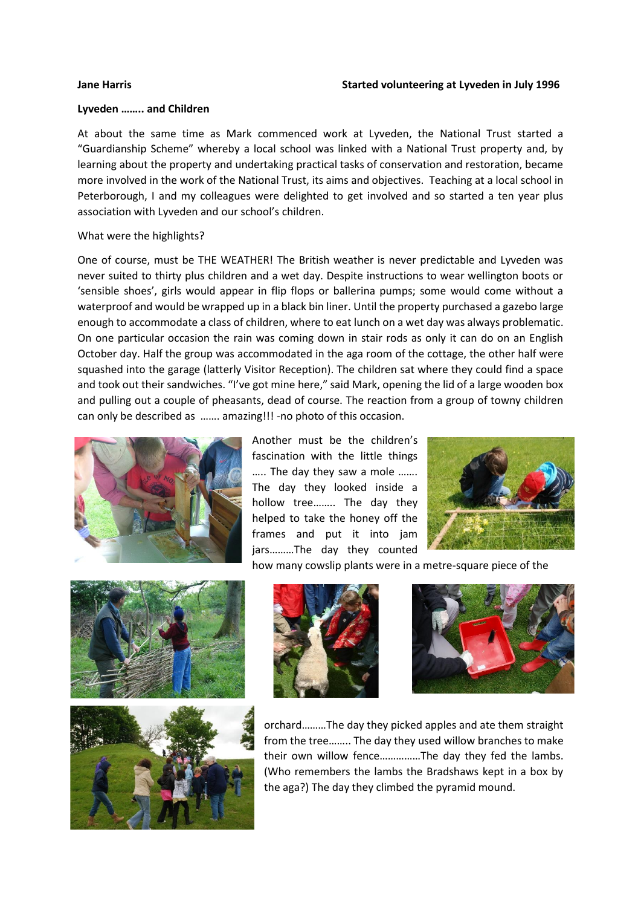# **Jane Harris Started volunteering at Lyveden in July 1996**

# **Lyveden …….. and Children**

At about the same time as Mark commenced work at Lyveden, the National Trust started a "Guardianship Scheme" whereby a local school was linked with a National Trust property and, by learning about the property and undertaking practical tasks of conservation and restoration, became more involved in the work of the National Trust, its aims and objectives. Teaching at a local school in Peterborough, I and my colleagues were delighted to get involved and so started a ten year plus association with Lyveden and our school's children.

# What were the highlights?

One of course, must be THE WEATHER! The British weather is never predictable and Lyveden was never suited to thirty plus children and a wet day. Despite instructions to wear wellington boots or 'sensible shoes', girls would appear in flip flops or ballerina pumps; some would come without a waterproof and would be wrapped up in a black bin liner. Until the property purchased a gazebo large enough to accommodate a class of children, where to eat lunch on a wet day was always problematic. On one particular occasion the rain was coming down in stair rods as only it can do on an English October day. Half the group was accommodated in the aga room of the cottage, the other half were squashed into the garage (latterly Visitor Reception). The children sat where they could find a space and took out their sandwiches. "I've got mine here," said Mark, opening the lid of a large wooden box and pulling out a couple of pheasants, dead of course. The reaction from a group of towny children can only be described as ……. amazing!!! -no photo of this occasion.



Another must be the children's fascination with the little things ….. The day they saw a mole ……. The day they looked inside a hollow tree…….. The day they helped to take the honey off the frames and put it into jam jars………The day they counted



how many cowslip plants were in a metre-square piece of the









orchard………The day they picked apples and ate them straight from the tree…….. The day they used willow branches to make their own willow fence……………The day they fed the lambs. (Who remembers the lambs the Bradshaws kept in a box by the aga?) The day they climbed the pyramid mound.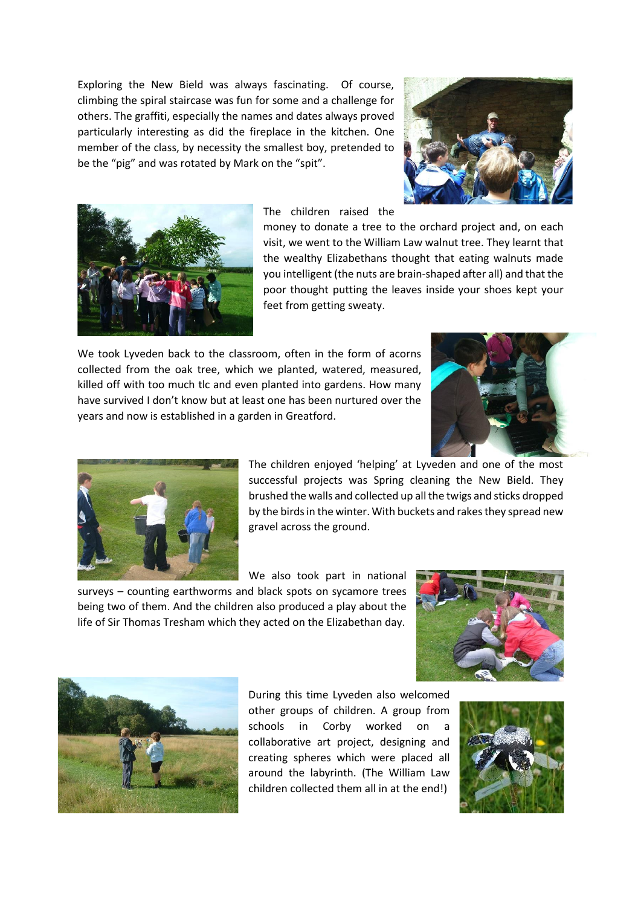Exploring the New Bield was always fascinating. Of course, climbing the spiral staircase was fun for some and a challenge for others. The graffiti, especially the names and dates always proved particularly interesting as did the fireplace in the kitchen. One member of the class, by necessity the smallest boy, pretended to be the "pig" and was rotated by Mark on the "spit".





# The children raised the

money to donate a tree to the orchard project and, on each visit, we went to the William Law walnut tree. They learnt that the wealthy Elizabethans thought that eating walnuts made you intelligent (the nuts are brain-shaped after all) and that the poor thought putting the leaves inside your shoes kept your feet from getting sweaty.

We took Lyveden back to the classroom, often in the form of acorns collected from the oak tree, which we planted, watered, measured, killed off with too much tlc and even planted into gardens. How many have survived I don't know but at least one has been nurtured over the years and now is established in a garden in Greatford.





The children enjoyed 'helping' at Lyveden and one of the most successful projects was Spring cleaning the New Bield. They brushed the walls and collected up all the twigs and sticks dropped by the birds in the winter. With buckets and rakes they spread new gravel across the ground.

We also took part in national

surveys – counting earthworms and black spots on sycamore trees being two of them. And the children also produced a play about the life of Sir Thomas Tresham which they acted on the Elizabethan day.





During this time Lyveden also welcomed other groups of children. A group from schools in Corby worked on a collaborative art project, designing and creating spheres which were placed all around the labyrinth. (The William Law children collected them all in at the end!)

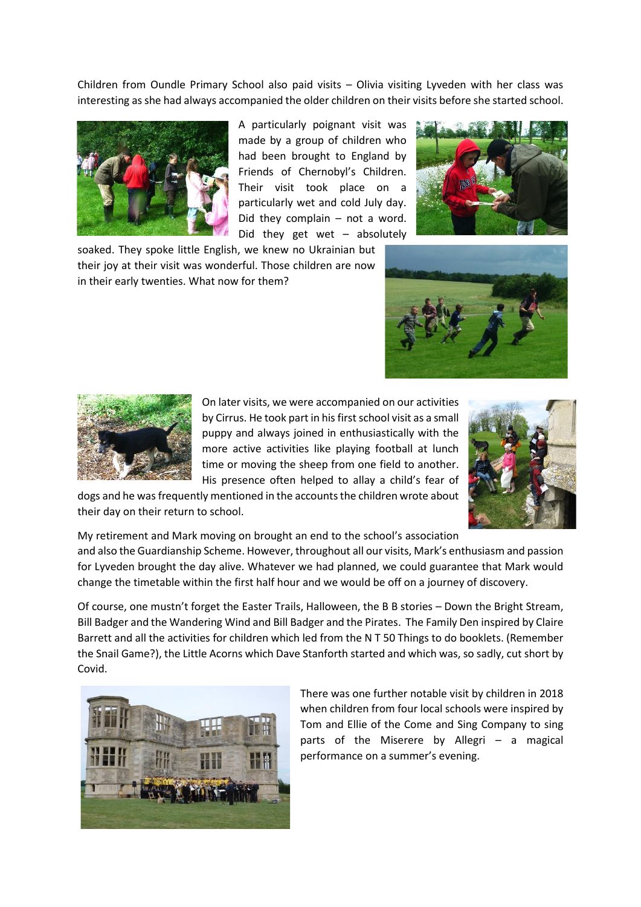Children from Oundle Primary School also paid visits – Olivia visiting Lyveden with her class was interesting as she had always accompanied the older children on their visits before she started school.



A particularly poignant visit was made by a group of children who had been brought to England by Friends of Chernobyl's Children. Their visit took place on a particularly wet and cold July day. Did they complain – not a word. Did they get wet  $-$  absolutely

soaked. They spoke little English, we knew no Ukrainian but their joy at their visit was wonderful. Those children are now in their early twenties. What now for them?







On later visits, we were accompanied on our activities by Cirrus. He took part in his first school visit as a small puppy and always joined in enthusiastically with the more active activities like playing football at lunch time or moving the sheep from one field to another. His presence often helped to allay a child's fear of

dogs and he was frequently mentioned in the accounts the children wrote about their day on their return to school.



My retirement and Mark moving on brought an end to the school's association

and also the Guardianship Scheme. However, throughout all our visits, Mark's enthusiasm and passion for Lyveden brought the day alive. Whatever we had planned, we could guarantee that Mark would change the timetable within the first half hour and we would be off on a journey of discovery.

Of course, one mustn't forget the Easter Trails, Halloween, the B B stories – Down the Bright Stream, Bill Badger and the Wandering Wind and Bill Badger and the Pirates. The Family Den inspired by Claire Barrett and all the activities for children which led from the N T 50 Things to do booklets. (Remember the Snail Game?), the Little Acorns which Dave Stanforth started and which was, so sadly, cut short by Covid.



There was one further notable visit by children in 2018 when children from four local schools were inspired by Tom and Ellie of the Come and Sing Company to sing parts of the Miserere by Allegri – a magical performance on a summer's evening.